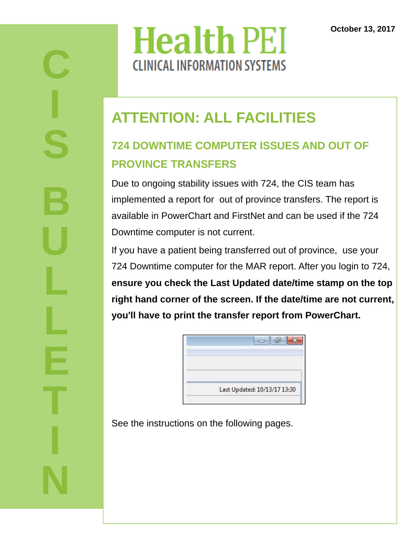# **Health PEI CLINICAL INFORMATION SYSTEMS**

#### **ATTENTION: ALL FACILITIES**

#### **724 DOWNTIME COMPUTER ISSUES AND OUT OF PROVINCE TRANSFERS**

Due to ongoing stability issues with 724, the CIS team has implemented a report for out of province transfers. The report is available in PowerChart and FirstNet and can be used if the 724 Downtime computer is not current.

If you have a patient being transferred out of province, use your 724 Downtime computer for the MAR report. After you login to 724, **ensure you check the Last Updated date/time stamp on the top right hand corner of the screen. If the date/time are not current, you'll have to print the transfer report from PowerChart.** 

| Last Updated: 10/13/17 13:30 |
|------------------------------|

See the instructions on the following pages.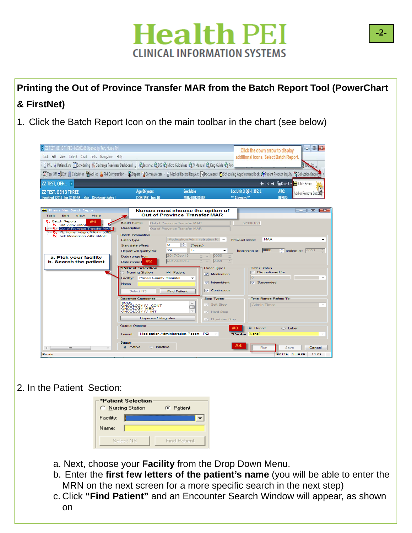### **Health PEI CLINICAL INFORMATION SYSTEMS**

**Printing the Out of Province Transfer MAR from the Batch Report Tool (PowerChart & FirstNet)** 

1. Click the Batch Report Icon on the main toolbar in the chart (see below)

| ZZ TEST, OEH 3 THREE - 010200186 Opened by Test, Nurse, RN<br>Task Edit View Patient Chart Links Navigation Help                                                                                                                                                |                                                                                                                                                                                                                                                                                            |                                                                                                                  | Click the down arrow to display<br>additional icons. Select Batch Report.                         | $\Box$ $\Box$                                      |
|-----------------------------------------------------------------------------------------------------------------------------------------------------------------------------------------------------------------------------------------------------------------|--------------------------------------------------------------------------------------------------------------------------------------------------------------------------------------------------------------------------------------------------------------------------------------------|------------------------------------------------------------------------------------------------------------------|---------------------------------------------------------------------------------------------------|----------------------------------------------------|
| Patient Lists Scheduling Scheduling Bischarge Readiness Dashboard     2   C Intranet C DIS C Micro Guidelines C IV Manual C King Guide C Pott                                                                                                                   |                                                                                                                                                                                                                                                                                            |                                                                                                                  |                                                                                                   |                                                    |
| Mexical Different Product Difference of AdHoc 2. PM Conversation + D. Depart La Communicate + @ Medical Record Request Concurrents (@ Scheduling Appointment Book ApPatient Product Inquiry & Collections Inquiry                                               |                                                                                                                                                                                                                                                                                            |                                                                                                                  |                                                                                                   |                                                    |
| ZZ TEST, QEH ×                                                                                                                                                                                                                                                  |                                                                                                                                                                                                                                                                                            |                                                                                                                  | $\leftarrow$ List $\rightarrow$                                                                   | <b>Execent</b> -<br><b>Batch Report</b>            |
| <b>ZZ TEST. OEH 3 THREE</b><br>Inpatient [2017-Jan-30 09:55 - < No - Discharge date>]                                                                                                                                                                           | Sex:Male<br>Age:66 years<br>DOB:1951-Jun-10                                                                                                                                                                                                                                                | MRN:010200186                                                                                                    | Loc:Unit 3 QEH; 305; 1<br>** Allergies **                                                         | ARO:<br>Add or Remove Butter<br><b>RESUS:</b>      |
| PharmNet: Batch Report<br>柵<br>Task<br><b>Edit</b><br>View<br>Help                                                                                                                                                                                              | Nurses must choose the option of<br><b>Out of Province Transfer MAR</b>                                                                                                                                                                                                                    |                                                                                                                  |                                                                                                   | $\mathbf{R}$<br>$\Box$<br>$\overline{\phantom{0}}$ |
| <b>R<sub>C</sub></b> Batch Reports<br>P <sub>x</sub> CM 7-day cMAF<br><b>By Out of Province Transfer MAR</b><br>P <sub>x</sub> PE Home 7-day cMAR - 5362<br>P <sub>x</sub> Self Medication 24hr cMAR -<br>a. Pick vour facility<br><b>b.</b> Search the patient | Batch name:<br>Out of Province Transfer MAR<br>Description:<br>Out of Province Transfer MAR<br><b>Batch Information</b><br>Batch type:<br>$\Rightarrow$<br>o<br>Start date offset:<br>24<br>Report will qualify for:<br>2017-Oct-13<br>Date range from:<br>2017-Oct-13<br>#2<br>Date range | Medication Administration R<br>(Today)<br>hr<br>0000<br>2359                                                     | 57336163<br><b>MAR</b><br>PreQual script:<br>beginning at: 0000                                   | $\triangle$ ending at: $2359$                      |
|                                                                                                                                                                                                                                                                 | <b>*Patient Selection</b><br><b>Nursing Station</b><br><b>O</b> Patient<br><b>Prince County Hospital</b><br>Facility:<br>Name:<br><b>Find Patient</b><br>Select NS<br><b>Dispense Categories</b>                                                                                           | <b>Order Types</b><br><b>V</b> Medication<br>$\sqrt{ }$ Intermittent<br><b>V</b> Continuous<br><b>Stop Types</b> | <b>Order Status</b><br><b>Discontinued for</b><br>$\Omega$<br>V Suspended<br>Time Range Refers To |                                                    |
|                                                                                                                                                                                                                                                                 | <b>BULK</b><br>ONCOLOGY IV_CONT<br>ONCOLOGY MED<br><b>ONCOLOGY IV INT</b><br><b>Dispense Categories</b>                                                                                                                                                                                    | V Soft Stop<br>٠<br>$\sqrt{ }$ Hard Stop<br>V Physician Stop                                                     | <b>Admin Times</b>                                                                                |                                                    |
|                                                                                                                                                                                                                                                                 | <b>Output Options</b><br>Medication Administration Report - PEI<br>Format:                                                                                                                                                                                                                 |                                                                                                                  | <b>O</b> Report<br>"Printer: (None)                                                               | C Label<br>٠                                       |
| $\rightarrow$<br>m                                                                                                                                                                                                                                              | <b>Status</b><br><b>O</b> Active<br>nactive                                                                                                                                                                                                                                                |                                                                                                                  | Run                                                                                               | Save<br>Cancel                                     |

#### 2. In the Patient Section:

| <b>*Patient Selection</b><br>C Nursing Station |           | C Patient           |  |  |  |
|------------------------------------------------|-----------|---------------------|--|--|--|
| Facility:                                      |           |                     |  |  |  |
| Name:                                          |           |                     |  |  |  |
|                                                | Select NS | <b>Find Patient</b> |  |  |  |

- a. Next, choose your **Facility** from the Drop Down Menu.
- b. Enter the **first few letters of the patient's name** (you will be able to enter the MRN on the next screen for a more specific search in the next step)
- c. Click **"Find Patient"** and an Encounter Search Window will appear, as shown on